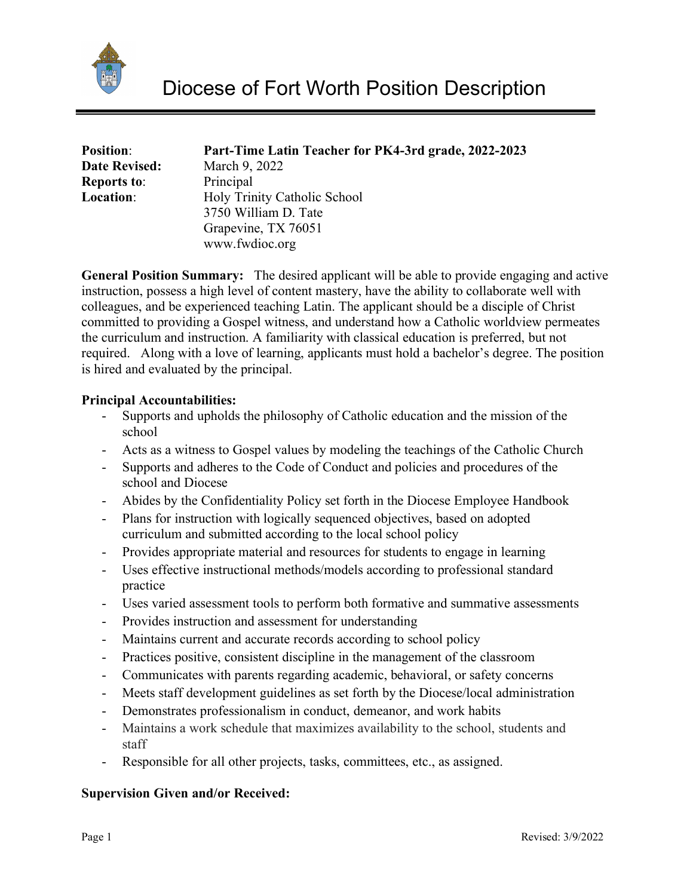

| <b>Position:</b>     | Part-Time Latin Teacher for PK4-3rd grade, 2022-2023 |
|----------------------|------------------------------------------------------|
| <b>Date Revised:</b> | March 9, 2022                                        |
| <b>Reports to:</b>   | Principal                                            |
| Location:            | Holy Trinity Catholic School                         |
|                      | 3750 William D. Tate                                 |
|                      | Grapevine, TX 76051                                  |
|                      | www.fwdioc.org                                       |

**General Position Summary:** The desired applicant will be able to provide engaging and active instruction, possess a high level of content mastery, have the ability to collaborate well with colleagues, and be experienced teaching Latin. The applicant should be a disciple of Christ committed to providing a Gospel witness, and understand how a Catholic worldview permeates the curriculum and instruction. A familiarity with classical education is preferred, but not required. Along with a love of learning, applicants must hold a bachelor's degree. The position is hired and evaluated by the principal.

## **Principal Accountabilities:**

- Supports and upholds the philosophy of Catholic education and the mission of the school
- Acts as a witness to Gospel values by modeling the teachings of the Catholic Church
- Supports and adheres to the Code of Conduct and policies and procedures of the school and Diocese
- Abides by the Confidentiality Policy set forth in the Diocese Employee Handbook
- Plans for instruction with logically sequenced objectives, based on adopted curriculum and submitted according to the local school policy
- Provides appropriate material and resources for students to engage in learning
- Uses effective instructional methods/models according to professional standard practice
- Uses varied assessment tools to perform both formative and summative assessments
- Provides instruction and assessment for understanding
- Maintains current and accurate records according to school policy
- Practices positive, consistent discipline in the management of the classroom
- Communicates with parents regarding academic, behavioral, or safety concerns
- Meets staff development guidelines as set forth by the Diocese/local administration
- Demonstrates professionalism in conduct, demeanor, and work habits
- Maintains a work schedule that maximizes availability to the school, students and staff
- Responsible for all other projects, tasks, committees, etc., as assigned.

## **Supervision Given and/or Received:**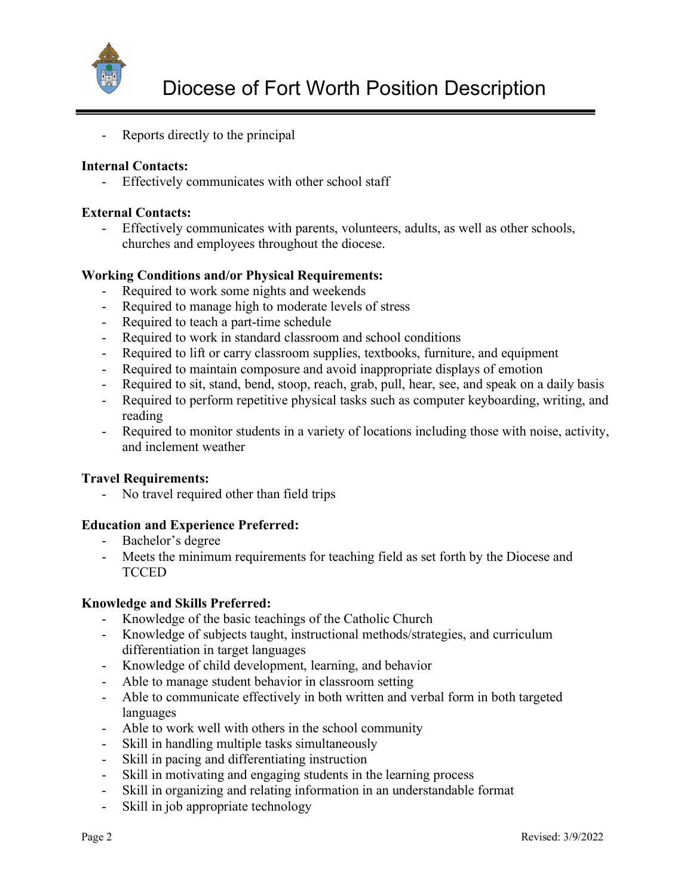

- Reports directly to the principal

# **Internal Contacts:**

- Effectively communicates with other school staff

## **External Contacts:**

Effectively communicates with parents, volunteers, adults, as well as other schools, churches and employees throughout the diocese.

## **Working Conditions and/or Physical Requirements:**

- Required to work some nights and weekends
- Required to manage high to moderate levels of stress
- Required to teach a part-time schedule
- Required to work in standard classroom and school conditions
- Required to lift or carry classroom supplies, textbooks, furniture, and equipment
- Required to maintain composure and avoid inappropriate displays of emotion
- Required to sit, stand, bend, stoop, reach, grab, pull, hear, see, and speak on a daily basis
- Required to perform repetitive physical tasks such as computer keyboarding, writing, and reading
- Required to monitor students in a variety of locations including those with noise, activity, and inclement weather

## **Travel Requirements:**

- No travel required other than field trips

## **Education and Experience Preferred:**

- Bachelor's degree
- Meets the minimum requirements for teaching field as set forth by the Diocese and **TCCED**

## **Knowledge and Skills Preferred:**

- Knowledge of the basic teachings of the Catholic Church
- Knowledge of subjects taught, instructional methods/strategies, and curriculum differentiation in target languages
- Knowledge of child development, learning, and behavior
- Able to manage student behavior in classroom setting
- Able to communicate effectively in both written and verbal form in both targeted languages
- Able to work well with others in the school community
- Skill in handling multiple tasks simultaneously
- Skill in pacing and differentiating instruction
- Skill in motivating and engaging students in the learning process
- Skill in organizing and relating information in an understandable format
- Skill in job appropriate technology